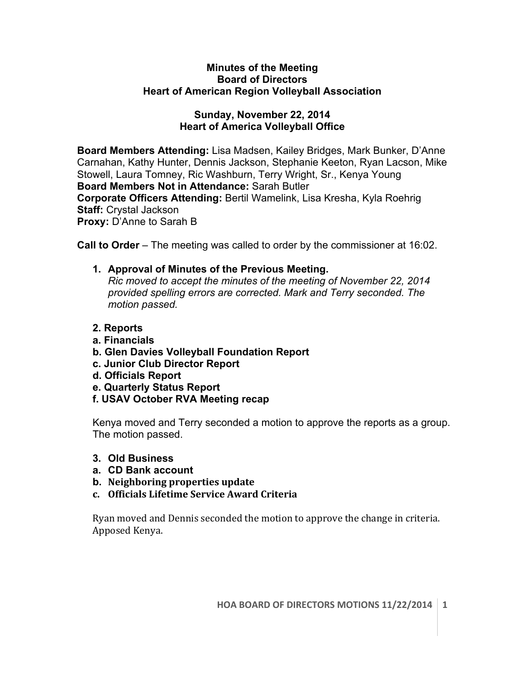## **Minutes of the Meeting Board of Directors Heart of American Region Volleyball Association**

## **Sunday, November 22, 2014 Heart of America Volleyball Office**

**Board Members Attending:** Lisa Madsen, Kailey Bridges, Mark Bunker, D'Anne Carnahan, Kathy Hunter, Dennis Jackson, Stephanie Keeton, Ryan Lacson, Mike Stowell, Laura Tomney, Ric Washburn, Terry Wright, Sr., Kenya Young **Board Members Not in Attendance:** Sarah Butler **Corporate Officers Attending:** Bertil Wamelink, Lisa Kresha, Kyla Roehrig **Staff:** Crystal Jackson **Proxy:** D'Anne to Sarah B

**Call to Order** – The meeting was called to order by the commissioner at 16:02.

- **1. Approval of Minutes of the Previous Meeting.**  *Ric moved to accept the minutes of the meeting of November 22, 2014 provided spelling errors are corrected. Mark and Terry seconded. The motion passed.*
- **2. Reports**
- **a. Financials**
- **b. Glen Davies Volleyball Foundation Report**
- **c. Junior Club Director Report**
- **d. Officials Report**
- **e. Quarterly Status Report**
- **f. USAV October RVA Meeting recap**

Kenya moved and Terry seconded a motion to approve the reports as a group. The motion passed.

- **3. Old Business**
- **a. CD Bank account**
- **b.** Neighboring properties update
- **c. Officials Lifetime Service Award Criteria**

Ryan moved and Dennis seconded the motion to approve the change in criteria. Apposed Kenya.